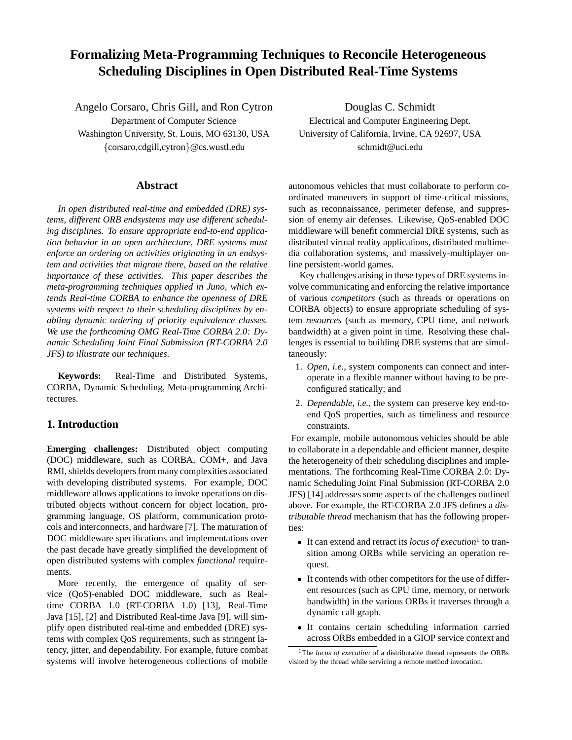# **Formalizing Meta-Programming Techniques to Reconcile Heterogeneous Scheduling Disciplines in Open Distributed Real-Time Systems**

Angelo Corsaro, Chris Gill, and Ron Cytron Department of Computer Science Washington University, St. Louis, MO 63130, USA {corsaro,cdgill,cytron}@cs.wustl.edu

# **Abstract**

*In open distributed real-time and embedded (DRE) systems, different ORB endsystems may use different scheduling disciplines. To ensure appropriate end-to-end application behavior in an open architecture, DRE systems must enforce an ordering on activities originating in an endsystem and activities that migrate there, based on the relative importance of these activities. This paper describes the meta-programming techniques applied in Juno, which extends Real-time CORBA to enhance the openness of DRE systems with respect to their scheduling disciplines by enabling dynamic ordering of priority equivalence classes. We use the forthcoming OMG Real-Time CORBA 2.0: Dynamic Scheduling Joint Final Submission (RT-CORBA 2.0 JFS) to illustrate our techniques.*

**Keywords:** Real-Time and Distributed Systems, CORBA, Dynamic Scheduling, Meta-programming Architectures.

# **1. Introduction**

**Emerging challenges:** Distributed object computing (DOC) middleware, such as CORBA, COM+, and Java RMI, shields developers from many complexities associated with developing distributed systems. For example, DOC middleware allows applications to invoke operations on distributed objects without concern for object location, programming language, OS platform, communication protocols and interconnects, and hardware [7]. The maturation of DOC middleware specifications and implementations over the past decade have greatly simplified the development of open distributed systems with complex *functional* requirements.

More recently, the emergence of quality of service (QoS)-enabled DOC middleware, such as Realtime CORBA 1.0 (RT-CORBA 1.0) [13], Real-Time Java [15], [2] and Distributed Real-time Java [9], will simplify open distributed real-time and embedded (DRE) systems with complex QoS requirements, such as stringent latency, jitter, and dependability. For example, future combat systems will involve heterogeneous collections of mobile

Douglas C. Schmidt Electrical and Computer Engineering Dept. University of California, Irvine, CA 92697, USA schmidt@uci.edu

autonomous vehicles that must collaborate to perform coordinated maneuvers in support of time-critical missions, such as reconnaissance, perimeter defense, and suppression of enemy air defenses. Likewise, QoS-enabled DOC middleware will benefit commercial DRE systems, such as distributed virtual reality applications, distributed multimedia collaboration systems, and massively-multiplayer online persistent-world games.

Key challenges arising in these types of DRE systems involve communicating and enforcing the relative importance of various *competitors* (such as threads or operations on CORBA objects) to ensure appropriate scheduling of system *resources* (such as memory, CPU time, and network bandwidth) at a given point in time. Resolving these challenges is essential to building DRE systems that are simultaneously:

- 1. *Open*, *i.e.*, system components can connect and interoperate in a flexible manner without having to be preconfigured statically; and
- 2. *Dependable*, *i.e.*, the system can preserve key end-toend QoS properties, such as timeliness and resource constraints.

For example, mobile autonomous vehicles should be able to collaborate in a dependable and efficient manner, despite the heterogeneity of their scheduling disciplines and implementations. The forthcoming Real-Time CORBA 2.0: Dynamic Scheduling Joint Final Submission (RT-CORBA 2.0 JFS) [14] addresses some aspects of the challenges outlined above. For example, the RT-CORBA 2.0 JFS defines a *distributable thread* mechanism that has the following properties:

- It can extend and retract its *locus of execution*<sup>1</sup> to transition among ORBs while servicing an operation request.
- It contends with other competitors for the use of different resources (such as CPU time, memory, or network bandwidth) in the various ORBs it traverses through a dynamic call graph.
- It contains certain scheduling information carried across ORBs embedded in a GIOP service context and

<sup>&</sup>lt;sup>1</sup>The *locus of execution* of a distributable thread represents the ORBs visited by the thread while servicing a remote method invocation.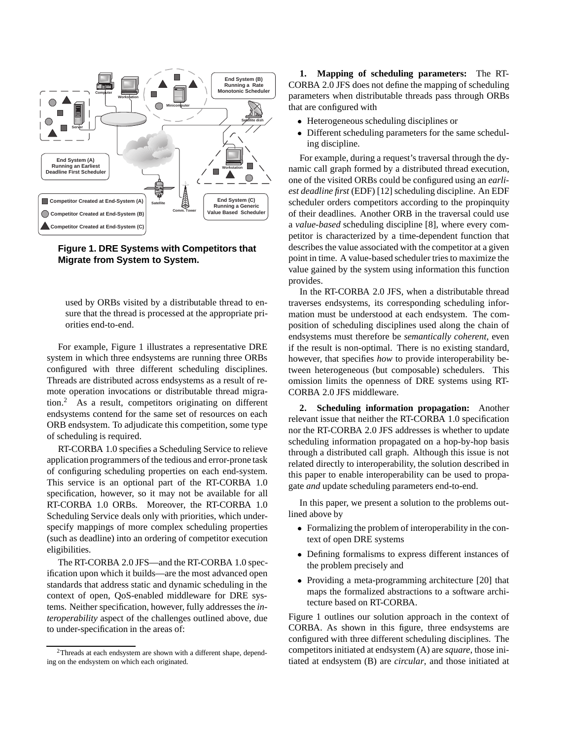

**Figure 1. DRE Systems with Competitors that Migrate from System to System.**

used by ORBs visited by a distributable thread to ensure that the thread is processed at the appropriate priorities end-to-end.

For example, Figure 1 illustrates a representative DRE system in which three endsystems are running three ORBs configured with three different scheduling disciplines. Threads are distributed across endsystems as a result of remote operation invocations or distributable thread migration.<sup>2</sup> As a result, competitors originating on different endsystems contend for the same set of resources on each ORB endsystem. To adjudicate this competition, some type of scheduling is required.

RT-CORBA 1.0 specifies a Scheduling Service to relieve application programmers of the tedious and error-prone task of configuring scheduling properties on each end-system. This service is an optional part of the RT-CORBA 1.0 specification, however, so it may not be available for all RT-CORBA 1.0 ORBs. Moreover, the RT-CORBA 1.0 Scheduling Service deals only with priorities, which underspecify mappings of more complex scheduling properties (such as deadline) into an ordering of competitor execution eligibilities.

The RT-CORBA 2.0 JFS—and the RT-CORBA 1.0 specification upon which it builds—are the most advanced open standards that address static and dynamic scheduling in the context of open, QoS-enabled middleware for DRE systems. Neither specification, however, fully addresses the *interoperability* aspect of the challenges outlined above, due to under-specification in the areas of:

**1. Mapping of scheduling parameters:** The RT-CORBA 2.0 JFS does not define the mapping of scheduling parameters when distributable threads pass through ORBs that are configured with

- Heterogeneous scheduling disciplines or
- Different scheduling parameters for the same scheduling discipline.

For example, during a request's traversal through the dynamic call graph formed by a distributed thread execution, one of the visited ORBs could be configured using an *earliest deadline first* (EDF) [12] scheduling discipline. An EDF scheduler orders competitors according to the propinquity of their deadlines. Another ORB in the traversal could use a *value-based* scheduling discipline [8], where every competitor is characterized by a time-dependent function that describes the value associated with the competitor at a given point in time. A value-based scheduler tries to maximize the value gained by the system using information this function provides.

In the RT-CORBA 2.0 JFS, when a distributable thread traverses endsystems, its corresponding scheduling information must be understood at each endsystem. The composition of scheduling disciplines used along the chain of endsystems must therefore be *semantically coherent*, even if the result is non-optimal. There is no existing standard, however, that specifies *how* to provide interoperability between heterogeneous (but composable) schedulers. This omission limits the openness of DRE systems using RT-CORBA 2.0 JFS middleware.

**2. Scheduling information propagation:** Another relevant issue that neither the RT-CORBA 1.0 specification nor the RT-CORBA 2.0 JFS addresses is whether to update scheduling information propagated on a hop-by-hop basis through a distributed call graph. Although this issue is not related directly to interoperability, the solution described in this paper to enable interoperability can be used to propagate *and* update scheduling parameters end-to-end.

In this paper, we present a solution to the problems outlined above by

- Formalizing the problem of interoperability in the context of open DRE systems
- Defining formalisms to express different instances of the problem precisely and
- Providing a meta-programming architecture [20] that maps the formalized abstractions to a software architecture based on RT-CORBA.

Figure 1 outlines our solution approach in the context of CORBA. As shown in this figure, three endsystems are configured with three different scheduling disciplines. The competitors initiated at endsystem (A) are *square*, those initiated at endsystem (B) are *circular*, and those initiated at

<sup>&</sup>lt;sup>2</sup>Threads at each endsystem are shown with a different shape, depending on the endsystem on which each originated.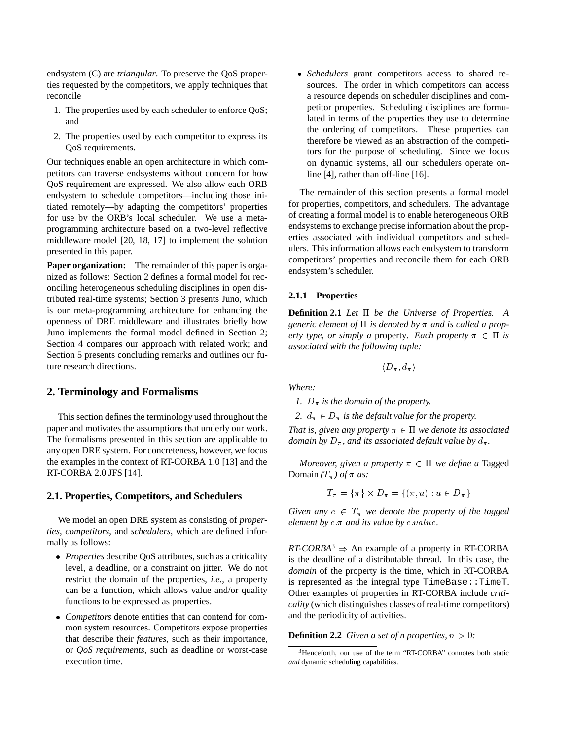endsystem (C) are *triangular*. To preserve the QoS properties requested by the competitors, we apply techniques that reconcile

- 1. The properties used by each scheduler to enforce QoS; and
- 2. The properties used by each competitor to express its QoS requirements.

Our techniques enable an open architecture in which competitors can traverse endsystems without concern for how QoS requirement are expressed. We also allow each ORB endsystem to schedule competitors—including those initiated remotely—by adapting the competitors' properties for use by the ORB's local scheduler. We use a metaprogramming architecture based on a two-level reflective middleware model [20, 18, 17] to implement the solution presented in this paper.

**Paper organization:** The remainder of this paper is organized as follows: Section 2 defines a formal model for reconciling heterogeneous scheduling disciplines in open distributed real-time systems; Section 3 presents Juno, which is our meta-programming architecture for enhancing the openness of DRE middleware and illustrates briefly how Juno implements the formal model defined in Section 2; Section 4 compares our approach with related work; and Section 5 presents concluding remarks and outlines our future research directions.

#### **2. Terminology and Formalisms**

This section defines the terminology used throughout the paper and motivates the assumptions that underly our work. The formalisms presented in this section are applicable to any open DRE system. For concreteness, however, we focus the examples in the context of RT-CORBA 1.0 [13] and the RT-CORBA 2.0 JFS [14].

#### **2.1. Properties, Competitors, and Schedulers**

We model an open DRE system as consisting of *properties*, *competitors*, and *schedulers*, which are defined informally as follows:

- *Properties* describe QoS attributes, such as a criticality level, a deadline, or a constraint on jitter. We do not restrict the domain of the properties, *i.e.*, a property can be a function, which allows value and/or quality functions to be expressed as properties.
- *Competitors* denote entities that can contend for common system resources. Competitors expose properties that describe their *features*, such as their importance, or *QoS requirements*, such as deadline or worst-case execution time.

 *Schedulers* grant competitors access to shared resources. The order in which competitors can access a resource depends on scheduler disciplines and competitor properties. Scheduling disciplines are formulated in terms of the properties they use to determine the ordering of competitors. These properties can therefore be viewed as an abstraction of the competitors for the purpose of scheduling. Since we focus on dynamic systems, all our schedulers operate online [4], rather than off-line [16].

The remainder of this section presents a formal model for properties, competitors, and schedulers. The advantage of creating a formal model is to enable heterogeneous ORB endsystems to exchange precise information about the properties associated with individual competitors and schedulers. This information allows each endsystem to transform competitors' properties and reconcile them for each ORB endsystem's scheduler.

#### **2.1.1 Properties**

**Definition 2.1** *Let be the Universe of Properties. A generic element of*  $\Pi$  *is denoted by*  $\pi$  *and is called a property type, or simply a property. Each property*  $\pi \in \Pi$  *is associated with the following tuple:*

$$
\langle D_\pi,d_\pi\rangle
$$

*Where:*

*1.*  $D_{\pi}$  *is the domain of the property.* 

2.  $d_{\pi} \in D_{\pi}$  *is the default value for the property.* 

*That is, given any property*  $\pi \in \Pi$  *we denote its associated domain by*  $D_{\pi}$ *, and its associated default value by*  $d_{\pi}$ *.* 

*Moreover, given a property*  $\pi \in \Pi$  *we define a* Tagged Domain  $(T_\pi)$  of  $\pi$  as:

$$
T_{\pi}=\{\pi\}\times D_{\pi}=\{(\pi,u):u\in D_{\pi}\}
$$

*Given any*  $e \in T_\pi$  *we denote the property of the tagged element by*  $e.\pi$  *and its value by*  $e.\textit{value}$ *.* 

 $RT-CORBA^3 \Rightarrow$  An example of a property in RT-CORBA is the deadline of a distributable thread. In this case, the *domain* of the property is the time, which in RT-CORBA is represented as the integral type TimeBase::TimeT. Other examples of properties in RT-CORBA include *criticality* (which distinguishes classes of real-time competitors) and the periodicity of activities.

#### **Definition 2.2** *Given a set of n properties,*  $n > 0$ *:*

<sup>3</sup>Henceforth, our use of the term "RT-CORBA" connotes both static *and* dynamic scheduling capabilities.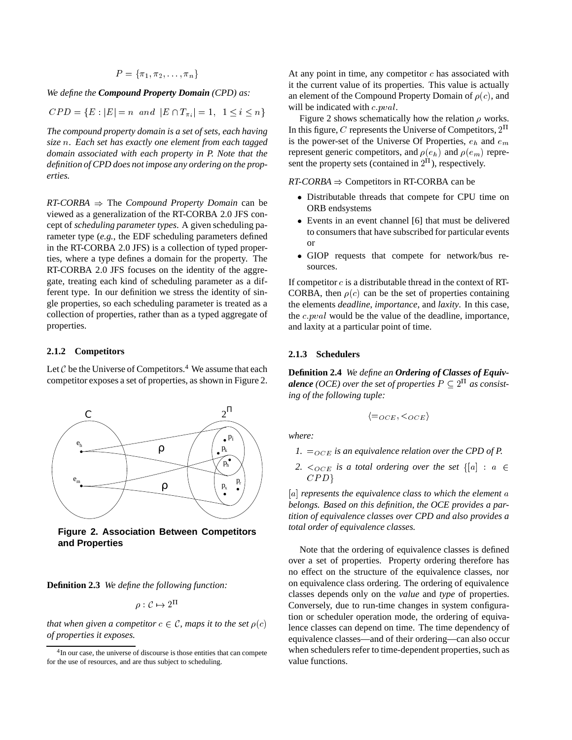$$
P = \{\pi_1, \pi_2, \ldots, \pi_n\}
$$

*We define the Compound Property Domain (CPD) as:*

 $CPD = \{E : |E| = n \text{ and } |E \cap T_{\pi_i}| = 1, 1 \le i \le n\}$ 

*The compound property domain is a set of sets, each having size* <sup>n</sup>*. Each set has exactly one element from each tagged domain associated with each property in P. Note that the definition of CPD does not impose any ordering on the properties.*

 $RT-CORBA$   $\Rightarrow$  The *Compound Property Domain* can be viewed as a generalization of the RT-CORBA 2.0 JFS concept of *scheduling parameter types*. A given scheduling parameter type (*e.g.*, the EDF scheduling parameters defined in the RT-CORBA 2.0 JFS) is a collection of typed properties, where a type defines a domain for the property. The RT-CORBA 2.0 JFS focuses on the identity of the aggregate, treating each kind of scheduling parameter as a different type. In our definition we stress the identity of single properties, so each scheduling parameter is treated as a collection of properties, rather than as a typed aggregate of properties.

#### **2.1.2 Competitors**

Let  $C$  be the Universe of Competitors.<sup>4</sup> We assume that each competitor exposes a set of properties, as shown in Figure 2.



**Figure 2. Association Between Competitors and Properties**

**Definition 2.3** *We define the following function:*

$$
\rho: \mathcal{C} \mapsto 2^{11}
$$

*that when given a competitor*  $c \in \mathcal{C}$ *, maps it to the set*  $\rho(c)$ *of properties it exposes.*

At any point in time, any competitor  $c$  has associated with it the current value of its properties. This value is actually an element of the Compound Property Domain of  $\rho(c)$ , and will be indicated with  $c.pval$ .

Figure 2 shows schematically how the relation  $\rho$  works. In this figure, C represents the Universe of Competitors,  $2<sup>11</sup>$ is the power-set of the Universe Of Properties,  $e_h$  and  $e_m$ represent generic competitors, and  $\rho(e_h)$  and  $\rho(e_m)$  represent the property sets (contained in  $2<sup>11</sup>$ ), respectively.

 $RT-CORBA \Rightarrow$  Competitors in RT-CORBA can be

- Distributable threads that compete for CPU time on ORB endsystems
- Events in an event channel [6] that must be delivered to consumers that have subscribed for particular events or
- GIOP requests that compete for network/bus resources.

If competitor  $c$  is a distributable thread in the context of RT-CORBA, then  $\rho(c)$  can be the set of properties containing the elements *deadline*, *importance*, and *laxity*. In this case, the c:pval would be the value of the deadline, importance, and laxity at a particular point of time.

#### **2.1.3 Schedulers**

**Definition 2.4** *We define an Ordering of Classes of Equivalence* (OCE) over the set of properties  $P \subseteq 2^{\text{II}}$  as consist*ing of the following tuple:*

$$
\langle =_{OCE}, <_{OCE} \rangle
$$

*where:*

- *1.*  $=_{OCE}$  *is an equivalence relation over the CPD of P.*
- 2.  $\langle \angle OCE$  *is a total ordering over the set*  $\{ |a| : a \in \mathbb{R} \}$  $CPD$

[a] *represents the equivalence class to which the element* a *belongs. Based on this definition, the OCE provides a partition of equivalence classes over CPD and also provides a total order of equivalence classes.*

Note that the ordering of equivalence classes is defined over a set of properties. Property ordering therefore has no effect on the structure of the equivalence classes, nor on equivalence class ordering. The ordering of equivalence classes depends only on the *value* and *type* of properties. Conversely, due to run-time changes in system configuration or scheduler operation mode, the ordering of equivalence classes can depend on time. The time dependency of equivalence classes—and of their ordering—can also occur when schedulers refer to time-dependent properties, such as value functions.

<sup>&</sup>lt;sup>4</sup>In our case, the universe of discourse is those entities that can compete for the use of resources, and are thus subject to scheduling.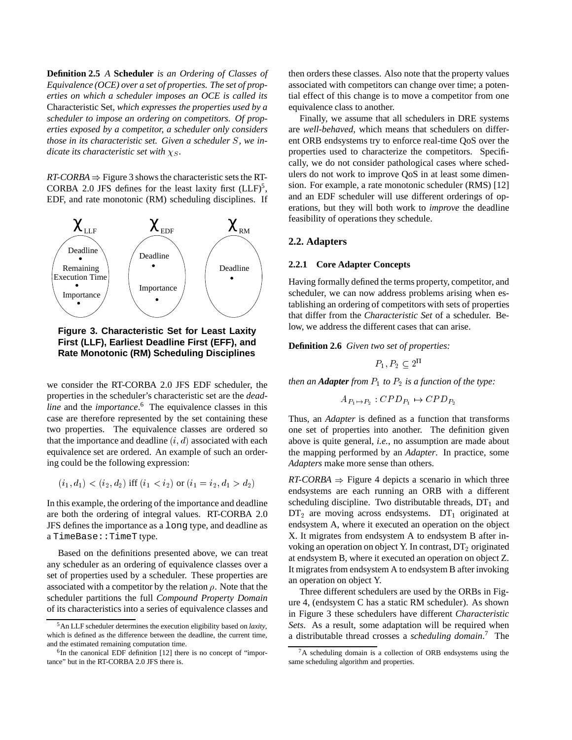**Definition 2.5** *A* **Scheduler** *is an Ordering of Classes of Equivalence (OCE) over a set of properties. The set of properties on which a scheduler imposes an OCE is called its* Characteristic Set*, which expresses the properties used by a scheduler to impose an ordering on competitors. Of properties exposed by a competitor, a scheduler only considers those in its characteristic set. Given a scheduler* S*, we indicate its characteristic set with*  $\chi$ <sub>*S*</sub>.

 $RT-CORBA \Rightarrow$  Figure 3 shows the characteristic sets the RT-CORBA 2.0 JFS defines for the least laxity first  $(LLF)^5$ , EDF, and rate monotonic (RM) scheduling disciplines. If



**Figure 3. Characteristic Set for Least Laxity First (LLF), Earliest Deadline First (EFF), and Rate Monotonic (RM) Scheduling Disciplines**

we consider the RT-CORBA 2.0 JFS EDF scheduler, the properties in the scheduler's characteristic set are the *deadline* and the *importance*. <sup>6</sup> The equivalence classes in this case are therefore represented by the set containing these two properties. The equivalence classes are ordered so that the importance and deadline  $(i, d)$  associated with each equivalence set are ordered. An example of such an ordering could be the following expression:

$$
(i_1, d_1) < (i_2, d_2)
$$
 iff  $(i_1 < i_2)$  or  $(i_1 = i_2, d_1 > d_2)$ 

In this example, the ordering of the importance and deadline are both the ordering of integral values. RT-CORBA 2.0 JFS defines the importance as a long type, and deadline as a TimeBase::TimeT type.

Based on the definitions presented above, we can treat any scheduler as an ordering of equivalence classes over a set of properties used by a scheduler. These properties are associated with a competitor by the relation  $\rho$ . Note that the scheduler partitions the full *Compound Property Domain* of its characteristics into a series of equivalence classes and then orders these classes. Also note that the property values associated with competitors can change over time; a potential effect of this change is to move a competitor from one equivalence class to another.

Finally, we assume that all schedulers in DRE systems are *well-behaved*, which means that schedulers on different ORB endsystems try to enforce real-time QoS over the properties used to characterize the competitors. Specifically, we do not consider pathological cases where schedulers do not work to improve QoS in at least some dimension. For example, a rate monotonic scheduler (RMS) [12] and an EDF scheduler will use different orderings of operations, but they will both work to *improve* the deadline feasibility of operations they schedule.

## **2.2. Adapters**

#### **2.2.1 Core Adapter Concepts**

Having formally defined the terms property, competitor, and scheduler, we can now address problems arising when establishing an ordering of competitors with sets of properties that differ from the *Characteristic Set* of a scheduler. Below, we address the different cases that can arise.

**Definition 2.6** *Given two set of properties:*

$$
P_1, P_2 \subseteq 2^{\Pi}
$$

*then an Adapter from*  $P_1$  *to*  $P_2$  *is a function of the type:* 

$$
A_{P_1 \mapsto P_2} : CPD_{P_1} \mapsto CPD_{P_2}
$$

Thus, an *Adapter* is defined as a function that transforms one set of properties into another. The definition given above is quite general, *i.e.*, no assumption are made about the mapping performed by an *Adapter*. In practice, some *Adapters* make more sense than others.

 $RT-CORBA$   $\Rightarrow$  Figure 4 depicts a scenario in which three endsystems are each running an ORB with a different scheduling discipline. Two distributable threads,  $DT<sub>1</sub>$  and  $DT<sub>2</sub>$  are moving across endsystems.  $DT<sub>1</sub>$  originated at endsystem A, where it executed an operation on the object X. It migrates from endsystem A to endsystem B after invoking an operation on object Y. In contrast,  $DT_2$  originated at endsystem B, where it executed an operation on object Z. It migrates from endsystem A to endsystem B after invoking an operation on object Y.

Three different schedulers are used by the ORBs in Figure 4, (endsystem C has a static RM scheduler). As shown in Figure 3 these schedulers have different *Characteristic Sets*. As a result, some adaptation will be required when a distributable thread crosses a *scheduling domain*. <sup>7</sup> The

<sup>5</sup>An LLF scheduler determines the execution eligibility based on *laxity*, which is defined as the difference between the deadline, the current time, and the estimated remaining computation time.

 $6$ In the canonical EDF definition [12] there is no concept of "importance" but in the RT-CORBA 2.0 JFS there is.

<sup>7</sup>A scheduling domain is a collection of ORB endsystems using the same scheduling algorithm and properties.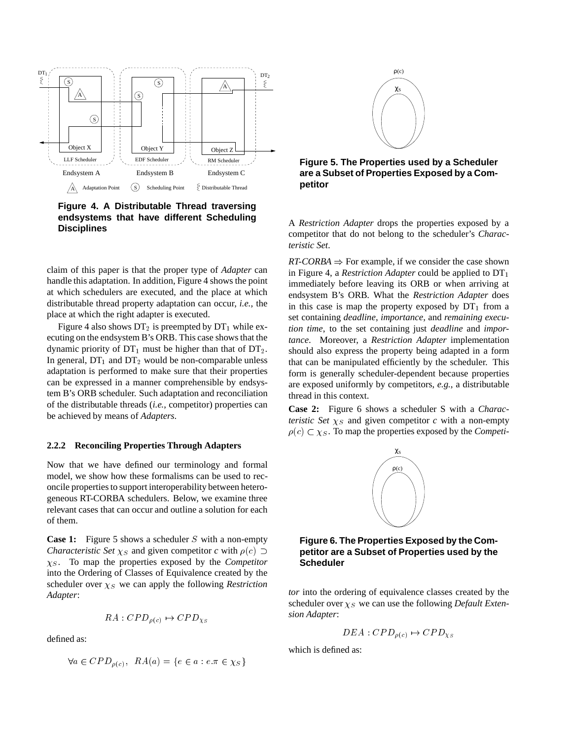

**Figure 4. A Distributable Thread traversing endsystems that have different Scheduling Disciplines**

claim of this paper is that the proper type of *Adapter* can handle this adaptation. In addition, Figure 4 shows the point at which schedulers are executed, and the place at which distributable thread property adaptation can occur, *i.e.*, the place at which the right adapter is executed.

Figure 4 also shows  $DT_2$  is preempted by  $DT_1$  while executing on the endsystem B's ORB. This case shows that the dynamic priority of  $DT_1$  must be higher than that of  $DT_2$ . In general,  $DT_1$  and  $DT_2$  would be non-comparable unless adaptation is performed to make sure that their properties can be expressed in a manner comprehensible by endsystem B's ORB scheduler. Such adaptation and reconciliation of the distributable threads (*i.e.*, competitor) properties can be achieved by means of *Adapters*.

#### **2.2.2 Reconciling Properties Through Adapters**

Now that we have defined our terminology and formal model, we show how these formalisms can be used to reconcile properties to support interoperability between heterogeneous RT-CORBA schedulers. Below, we examine three relevant cases that can occur and outline a solution for each of them.

**Case 1:** Figure 5 shows a scheduler S with a non-empty *Characteristic Set*  $\chi_S$  and given competitor *c* with  $\rho(c)$   $\supset$  $\chi_S$ . To map the properties exposed by the *Competitor* into the Ordering of Classes of Equivalence created by the scheduler over  $\chi_S$  we can apply the following *Restriction Adapter*:

$$
RA:CPD_{\rho(c)} \rightarrow CPD_{\chi_S}
$$

defined as:

$$
\forall a \in CPD_{\rho(c)}, \ \ RA(a) = \{e \in a : e.\pi \in \chi_S\}
$$



**Figure 5. The Properties used by a Scheduler are a Subset of Properties Exposed by a Competitor**

A *Restriction Adapter* drops the properties exposed by a competitor that do not belong to the scheduler's *Characteristic Set*.

 $RT-CORBA \Rightarrow$  For example, if we consider the case shown in Figure 4, a *Restriction Adapter* could be applied to  $DT_1$ immediately before leaving its ORB or when arriving at endsystem B's ORB. What the *Restriction Adapter* does in this case is map the property exposed by  $DT_1$  from a set containing *deadline*, *importance*, and *remaining execution time*, to the set containing just *deadline* and *importance*. Moreover, a *Restriction Adapter* implementation should also express the property being adapted in a form that can be manipulated efficiently by the scheduler. This form is generally scheduler-dependent because properties are exposed uniformly by competitors, *e.g.*, a distributable thread in this context.

**Case 2:** Figure 6 shows a scheduler S with a *Characteristic Set*  $\chi$ <sub>S</sub> and given competitor *c* with a non-empty  $\rho(c) \subset \chi_S$ . To map the properties exposed by the *Competi-*



**Figure 6. The Properties Exposed by the Competitor are a Subset of Properties used by the Scheduler**

*tor* into the ordering of equivalence classes created by the scheduler over  $\chi_S$  we can use the following *Default Extension Adapter*:

$$
DEA: CPD_{\rho(c)} \mapsto CPD_{\chi_S}
$$

which is defined as: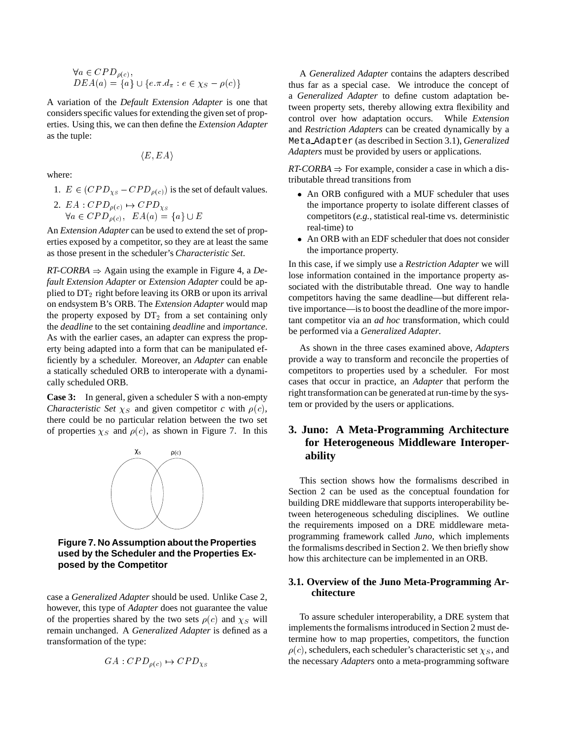$$
\forall a \in CPD_{\rho(c)},
$$
  
 
$$
DEA(a) = \{a\} \cup \{e.\pi.d_\pi : e \in \chi_S - \rho(c)\}\
$$

A variation of the *Default Extension Adapter* is one that considers specific values for extending the given set of properties. Using this, we can then define the *Extension Adapter* as the tuple:

$$
\langle E,EA\rangle
$$

where:

1.  $E \in (CPD_{\chi s} - CPD_{\rho(c)})$  is the set of default values.

2. 
$$
EA : CPD_{\rho(c)} \rightarrow CPD_{\chi s}
$$
  
\n $\forall a \in CPD_{\rho(c)}, \ \ EA(a) = \{a\} \cup E$ 

An *Extension Adapter* can be used to extend the set of properties exposed by a competitor, so they are at least the same as those present in the scheduler's *Characteristic Set*.

 $RT-CORBA \Rightarrow$  Again using the example in Figure 4, a *Default Extension Adapter* or *Extension Adapter* could be applied to  $DT_2$  right before leaving its ORB or upon its arrival on endsystem B's ORB. The *Extension Adapter* would map the property exposed by  $DT_2$  from a set containing only the *deadline* to the set containing *deadline* and *importance*. As with the earlier cases, an adapter can express the property being adapted into a form that can be manipulated efficiently by a scheduler. Moreover, an *Adapter* can enable a statically scheduled ORB to interoperate with a dynamically scheduled ORB.

**Case 3:** In general, given a scheduler S with a non-empty *Characteristic Set*  $\chi_S$  and given competitor *c* with  $\rho(c)$ , there could be no particular relation between the two set of properties  $\chi_S$  and  $\rho(c)$ , as shown in Figure 7. In this



**Figure 7. No Assumption about the Properties used by the Scheduler and the Properties Exposed by the Competitor**

case a *Generalized Adapter* should be used. Unlike Case 2, however, this type of *Adapter* does not guarantee the value of the properties shared by the two sets  $\rho(c)$  and  $\chi_S$  will remain unchanged. A *Generalized Adapter* is defined as a transformation of the type:

$$
GA : CPD_{\rho(c)} \mapsto CPD_{\chi_S}
$$

A *Generalized Adapter* contains the adapters described thus far as a special case. We introduce the concept of a *Generalized Adapter* to define custom adaptation between property sets, thereby allowing extra flexibility and control over how adaptation occurs. While *Extension* and *Restriction Adapters* can be created dynamically by a Meta Adapter (as described in Section 3.1), *Generalized Adapters* must be provided by users or applications.

 $RT-CORBA \Rightarrow$  For example, consider a case in which a distributable thread transitions from

- An ORB configured with a MUF scheduler that uses the importance property to isolate different classes of competitors (*e.g.*, statistical real-time vs. deterministic real-time) to
- An ORB with an EDF scheduler that does not consider the importance property.

In this case, if we simply use a *Restriction Adapter* we will lose information contained in the importance property associated with the distributable thread. One way to handle competitors having the same deadline—but different relative importance—is to boost the deadline of the more important competitor via an *ad hoc* transformation, which could be performed via a *Generalized Adapter*.

As shown in the three cases examined above, *Adapters* provide a way to transform and reconcile the properties of competitors to properties used by a scheduler. For most cases that occur in practice, an *Adapter* that perform the right transformation can be generated at run-time by the system or provided by the users or applications.

# **3. Juno: A Meta-Programming Architecture for Heterogeneous Middleware Interoperability**

This section shows how the formalisms described in Section 2 can be used as the conceptual foundation for building DRE middleware that supports interoperability between heterogeneous scheduling disciplines. We outline the requirements imposed on a DRE middleware metaprogramming framework called *Juno*, which implements the formalisms described in Section 2. We then briefly show how this architecture can be implemented in an ORB.

# **3.1. Overview of the Juno Meta-Programming Architecture**

To assure scheduler interoperability, a DRE system that implements the formalisms introduced in Section 2 must determine how to map properties, competitors, the function  $\rho(c)$ , schedulers, each scheduler's characteristic set  $\chi_S$ , and the necessary *Adapters* onto a meta-programming software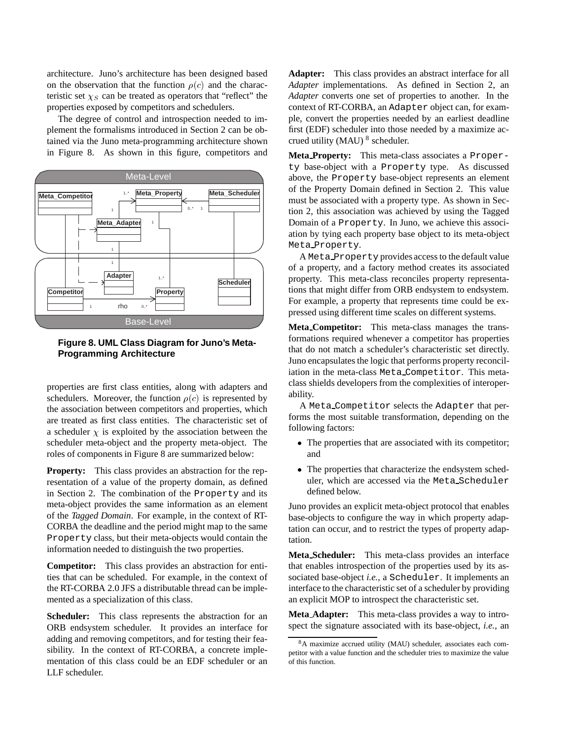architecture. Juno's architecture has been designed based on the observation that the function  $\rho(c)$  and the characteristic set  $\chi_S$  can be treated as operators that "reflect" the properties exposed by competitors and schedulers.

The degree of control and introspection needed to implement the formalisms introduced in Section 2 can be obtained via the Juno meta-programming architecture shown in Figure 8. As shown in this figure, competitors and



**Figure 8. UML Class Diagram for Juno's Meta-Programming Architecture**

properties are first class entities, along with adapters and schedulers. Moreover, the function  $\rho(c)$  is represented by the association between competitors and properties, which are treated as first class entities. The characteristic set of a scheduler  $\chi$  is exploited by the association between the scheduler meta-object and the property meta-object. The roles of components in Figure 8 are summarized below:

**Property:** This class provides an abstraction for the representation of a value of the property domain, as defined in Section 2. The combination of the Property and its meta-object provides the same information as an element of the *Tagged Domain*. For example, in the context of RT-CORBA the deadline and the period might map to the same Property class, but their meta-objects would contain the information needed to distinguish the two properties.

**Competitor:** This class provides an abstraction for entities that can be scheduled. For example, in the context of the RT-CORBA 2.0 JFS a distributable thread can be implemented as a specialization of this class.

**Scheduler:** This class represents the abstraction for an ORB endsystem scheduler. It provides an interface for adding and removing competitors, and for testing their feasibility. In the context of RT-CORBA, a concrete implementation of this class could be an EDF scheduler or an LLF scheduler.

**Adapter:** This class provides an abstract interface for all *Adapter* implementations. As defined in Section 2, an *Adapter* converts one set of properties to another. In the context of RT-CORBA, an Adapter object can, for example, convert the properties needed by an earliest deadline first (EDF) scheduler into those needed by a maximize accrued utility (MAU) <sup>8</sup> scheduler.

**Meta Property:** This meta-class associates a Property base-object with a Property type. As discussed above, the Property base-object represents an element of the Property Domain defined in Section 2. This value must be associated with a property type. As shown in Section 2, this association was achieved by using the Tagged Domain of a Property. In Juno, we achieve this association by tying each property base object to its meta-object Meta Property.

A Meta Property provides access to the default value of a property, and a factory method creates its associated property. This meta-class reconciles property representations that might differ from ORB endsystem to endsystem. For example, a property that represents time could be expressed using different time scales on different systems.

**Meta Competitor:** This meta-class manages the transformations required whenever a competitor has properties that do not match a scheduler's characteristic set directly. Juno encapsulates the logic that performs property reconciliation in the meta-class Meta Competitor. This metaclass shields developers from the complexities of interoperability.

A Meta Competitor selects the Adapter that performs the most suitable transformation, depending on the following factors:

- The properties that are associated with its competitor; and
- The properties that characterize the endsystem scheduler, which are accessed via the Meta Scheduler defined below.

Juno provides an explicit meta-object protocol that enables base-objects to configure the way in which property adaptation can occur, and to restrict the types of property adaptation.

**Meta Scheduler:** This meta-class provides an interface that enables introspection of the properties used by its associated base-object *i.e.*, a Scheduler. It implements an interface to the characteristic set of a scheduler by providing an explicit MOP to introspect the characteristic set.

**Meta Adapter:** This meta-class provides a way to introspect the signature associated with its base-object, *i.e.*, an

<sup>8</sup>A maximize accrued utility (MAU) scheduler, associates each competitor with a value function and the scheduler tries to maximize the value of this function.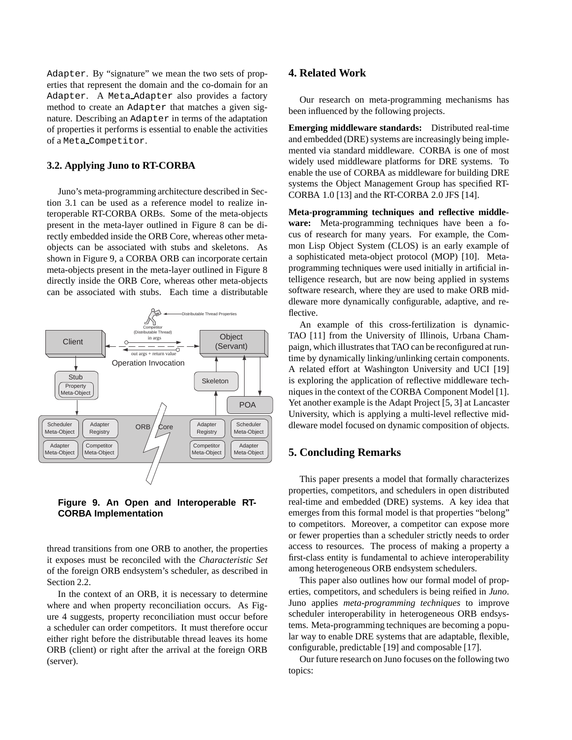Adapter. By "signature" we mean the two sets of properties that represent the domain and the co-domain for an Adapter. A Meta Adapter also provides a factory method to create an Adapter that matches a given signature. Describing an Adapter in terms of the adaptation of properties it performs is essential to enable the activities of a Meta Competitor.

# **3.2. Applying Juno to RT-CORBA**

Juno's meta-programming architecture described in Section 3.1 can be used as a reference model to realize interoperable RT-CORBA ORBs. Some of the meta-objects present in the meta-layer outlined in Figure 8 can be directly embedded inside the ORB Core, whereas other metaobjects can be associated with stubs and skeletons. As shown in Figure 9, a CORBA ORB can incorporate certain meta-objects present in the meta-layer outlined in Figure 8 directly inside the ORB Core, whereas other meta-objects can be associated with stubs. Each time a distributable



**Figure 9. An Open and Interoperable RT-CORBA Implementation**

thread transitions from one ORB to another, the properties it exposes must be reconciled with the *Characteristic Set* of the foreign ORB endsystem's scheduler, as described in Section 2.2.

In the context of an ORB, it is necessary to determine where and when property reconciliation occurs. As Figure 4 suggests, property reconciliation must occur before a scheduler can order competitors. It must therefore occur either right before the distributable thread leaves its home ORB (client) or right after the arrival at the foreign ORB (server).

# **4. Related Work**

Our research on meta-programming mechanisms has been influenced by the following projects.

**Emerging middleware standards:** Distributed real-time and embedded (DRE) systems are increasingly being implemented via standard middleware. CORBA is one of most widely used middleware platforms for DRE systems. To enable the use of CORBA as middleware for building DRE systems the Object Management Group has specified RT-CORBA 1.0 [13] and the RT-CORBA 2.0 JFS [14].

**Meta-programming techniques and reflective middleware:** Meta-programming techniques have been a focus of research for many years. For example, the Common Lisp Object System (CLOS) is an early example of a sophisticated meta-object protocol (MOP) [10]. Metaprogramming techniques were used initially in artificial intelligence research, but are now being applied in systems software research, where they are used to make ORB middleware more dynamically configurable, adaptive, and reflective.

An example of this cross-fertilization is dynamic-TAO [11] from the University of Illinois, Urbana Champaign, which illustrates that TAO can be reconfigured at runtime by dynamically linking/unlinking certain components. A related effort at Washington University and UCI [19] is exploring the application of reflective middleware techniques in the context of the CORBA Component Model [1]. Yet another example is the Adapt Project [5, 3] at Lancaster University, which is applying a multi-level reflective middleware model focused on dynamic composition of objects.

# **5. Concluding Remarks**

This paper presents a model that formally characterizes properties, competitors, and schedulers in open distributed real-time and embedded (DRE) systems. A key idea that emerges from this formal model is that properties "belong" to competitors. Moreover, a competitor can expose more or fewer properties than a scheduler strictly needs to order access to resources. The process of making a property a first-class entity is fundamental to achieve interoperability among heterogeneous ORB endsystem schedulers.

This paper also outlines how our formal model of properties, competitors, and schedulers is being reified in *Juno*. Juno applies *meta-programming techniques* to improve scheduler interoperability in heterogeneous ORB endsystems. Meta-programming techniques are becoming a popular way to enable DRE systems that are adaptable, flexible, configurable, predictable [19] and composable [17].

Our future research on Juno focuses on the following two topics: